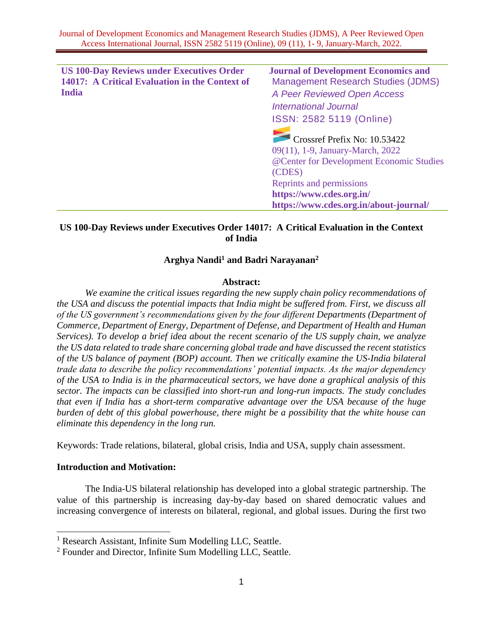| <b>US 100-Day Reviews under Executives Order</b> | <b>Journal of Development Economics and</b> |
|--------------------------------------------------|---------------------------------------------|
| 14017: A Critical Evaluation in the Context of   | <b>Management Research Studies (JDMS)</b>   |
| <b>India</b>                                     | A Peer Reviewed Open Access                 |
|                                                  | <b>International Journal</b>                |
|                                                  | ISSN: 2582 5119 (Online)                    |
|                                                  | Crossref Prefix No: 10.53422                |
|                                                  | 09(11), 1-9, January-March, 2022            |
|                                                  | @Center for Development Economic Studies    |
|                                                  | (CDES)                                      |
|                                                  | Reprints and permissions                    |
|                                                  | https://www.cdes.org.in/                    |
|                                                  | https://www.cdes.org.in/about-journal/      |

# **US 100-Day Reviews under Executives Order 14017: A Critical Evaluation in the Context of India**

## **Arghya Nandi<sup>1</sup> and Badri Narayanan<sup>2</sup>**

#### **Abstract:**

*We examine the critical issues regarding the new supply chain policy recommendations of the USA and discuss the potential impacts that India might be suffered from. First, we discuss all of the US government's recommendations given by the four different Departments (Department of Commerce, Department of Energy, Department of Defense, and Department of Health and Human Services). To develop a brief idea about the recent scenario of the US supply chain, we analyze the US data related to trade share concerning global trade and have discussed the recent statistics of the US balance of payment (BOP) account. Then we critically examine the US-India bilateral trade data to describe the policy recommendations' potential impacts. As the major dependency of the USA to India is in the pharmaceutical sectors, we have done a graphical analysis of this sector. The impacts can be classified into short-run and long-run impacts. The study concludes that even if India has a short-term comparative advantage over the USA because of the huge burden of debt of this global powerhouse, there might be a possibility that the white house can eliminate this dependency in the long run.*

Keywords: Trade relations, bilateral, global crisis, India and USA, supply chain assessment.

## **Introduction and Motivation:**

The India-US bilateral relationship has developed into a global strategic partnership. The value of this partnership is increasing day-by-day based on shared democratic values and increasing convergence of interests on bilateral, regional, and global issues. During the first two

<sup>&</sup>lt;sup>1</sup> Research Assistant, Infinite Sum Modelling LLC, Seattle.

<sup>2</sup> Founder and Director, Infinite Sum Modelling LLC, Seattle.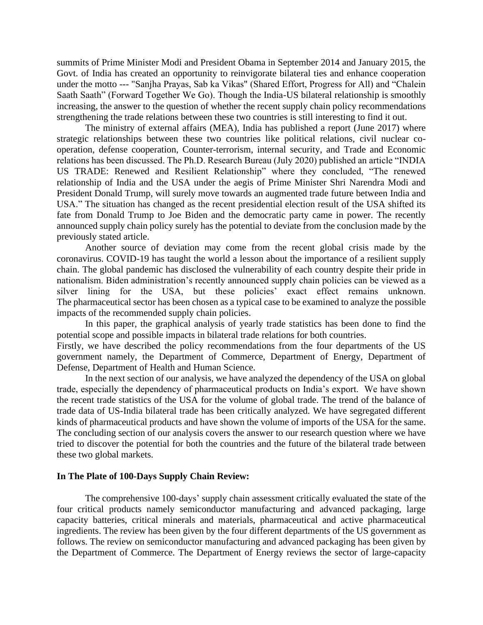summits of Prime Minister Modi and President Obama in September 2014 and January 2015, the Govt. of India has created an opportunity to reinvigorate bilateral ties and enhance cooperation under the motto --- "Sanjha Prayas, Sab ka Vikas" (Shared Effort, Progress for All) and "Chalein Saath Saath" (Forward Together We Go). Though the India-US bilateral relationship is smoothly increasing, the answer to the question of whether the recent supply chain policy recommendations strengthening the trade relations between these two countries is still interesting to find it out.

The ministry of external affairs (MEA), India has published a report (June 2017) where strategic relationships between these two countries like political relations, civil nuclear cooperation, defense cooperation, Counter-terrorism, internal security, and Trade and Economic relations has been discussed. The Ph.D. Research Bureau (July 2020) published an article "INDIA US TRADE: Renewed and Resilient Relationship" where they concluded, "The renewed relationship of India and the USA under the aegis of Prime Minister Shri Narendra Modi and President Donald Trump, will surely move towards an augmented trade future between India and USA." The situation has changed as the recent presidential election result of the USA shifted its fate from Donald Trump to Joe Biden and the democratic party came in power. The recently announced supply chain policy surely has the potential to deviate from the conclusion made by the previously stated article.

Another source of deviation may come from the recent global crisis made by the coronavirus. COVID-19 has taught the world a lesson about the importance of a resilient supply chain. The global pandemic has disclosed the vulnerability of each country despite their pride in nationalism. Biden administration's recently announced supply chain policies can be viewed as a silver lining for the USA, but these policies' exact effect remains unknown. The pharmaceutical sector has been chosen as a typical case to be examined to analyze the possible impacts of the recommended supply chain policies.

In this paper, the graphical analysis of yearly trade statistics has been done to find the potential scope and possible impacts in bilateral trade relations for both countries.

Firstly, we have described the policy recommendations from the four departments of the US government namely, the Department of Commerce, Department of Energy, Department of Defense, Department of Health and Human Science.

In the next section of our analysis, we have analyzed the dependency of the USA on global trade, especially the dependency of pharmaceutical products on India's export. We have shown the recent trade statistics of the USA for the volume of global trade. The trend of the balance of trade data of US-India bilateral trade has been critically analyzed. We have segregated different kinds of pharmaceutical products and have shown the volume of imports of the USA for the same. The concluding section of our analysis covers the answer to our research question where we have tried to discover the potential for both the countries and the future of the bilateral trade between these two global markets.

#### **In The Plate of 100-Days Supply Chain Review:**

The comprehensive 100-days' supply chain assessment critically evaluated the state of the four critical products namely semiconductor manufacturing and advanced packaging, large capacity batteries, critical minerals and materials, pharmaceutical and active pharmaceutical ingredients. The review has been given by the four different departments of the US government as follows. The review on semiconductor manufacturing and advanced packaging has been given by the Department of Commerce. The Department of Energy reviews the sector of large-capacity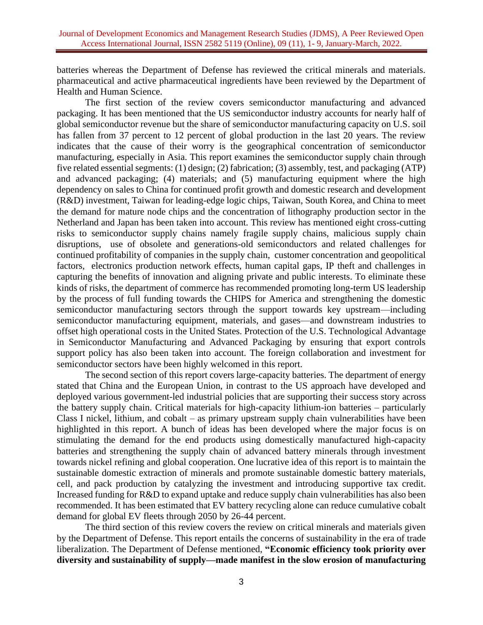batteries whereas the Department of Defense has reviewed the critical minerals and materials. pharmaceutical and active pharmaceutical ingredients have been reviewed by the Department of Health and Human Science.

The first section of the review covers semiconductor manufacturing and advanced packaging. It has been mentioned that the US semiconductor industry accounts for nearly half of global semiconductor revenue but the share of semiconductor manufacturing capacity on U.S. soil has fallen from 37 percent to 12 percent of global production in the last 20 years. The review indicates that the cause of their worry is the geographical concentration of semiconductor manufacturing, especially in Asia. This report examines the semiconductor supply chain through five related essential segments: (1) design; (2) fabrication; (3) assembly, test, and packaging (ATP) and advanced packaging; (4) materials; and (5) manufacturing equipment where the high dependency on sales to China for continued profit growth and domestic research and development (R&D) investment, Taiwan for leading-edge logic chips, Taiwan, South Korea, and China to meet the demand for mature node chips and the concentration of lithography production sector in the Netherland and Japan has been taken into account. This review has mentioned eight cross-cutting risks to semiconductor supply chains namely fragile supply chains, malicious supply chain disruptions, use of obsolete and generations-old semiconductors and related challenges for continued profitability of companies in the supply chain, customer concentration and geopolitical factors, electronics production network effects, human capital gaps, IP theft and challenges in capturing the benefits of innovation and aligning private and public interests. To eliminate these kinds of risks, the department of commerce has recommended promoting long-term US leadership by the process of full funding towards the CHIPS for America and strengthening the domestic semiconductor manufacturing sectors through the support towards key upstream—including semiconductor manufacturing equipment, materials, and gases—and downstream industries to offset high operational costs in the United States. Protection of the U.S. Technological Advantage in Semiconductor Manufacturing and Advanced Packaging by ensuring that export controls support policy has also been taken into account. The foreign collaboration and investment for semiconductor sectors have been highly welcomed in this report.

The second section of this report covers large-capacity batteries. The department of energy stated that China and the European Union, in contrast to the US approach have developed and deployed various government-led industrial policies that are supporting their success story across the battery supply chain. Critical materials for high-capacity lithium-ion batteries – particularly Class I nickel, lithium, and cobalt – as primary upstream supply chain vulnerabilities have been highlighted in this report. A bunch of ideas has been developed where the major focus is on stimulating the demand for the end products using domestically manufactured high-capacity batteries and strengthening the supply chain of advanced battery minerals through investment towards nickel refining and global cooperation. One lucrative idea of this report is to maintain the sustainable domestic extraction of minerals and promote sustainable domestic battery materials, cell, and pack production by catalyzing the investment and introducing supportive tax credit. Increased funding for R&D to expand uptake and reduce supply chain vulnerabilities has also been recommended. It has been estimated that EV battery recycling alone can reduce cumulative cobalt demand for global EV fleets through 2050 by 26-44 percent.

The third section of this review covers the review on critical minerals and materials given by the Department of Defense. This report entails the concerns of sustainability in the era of trade liberalization. The Department of Defense mentioned, **"Economic efficiency took priority over diversity and sustainability of supply—made manifest in the slow erosion of manufacturing**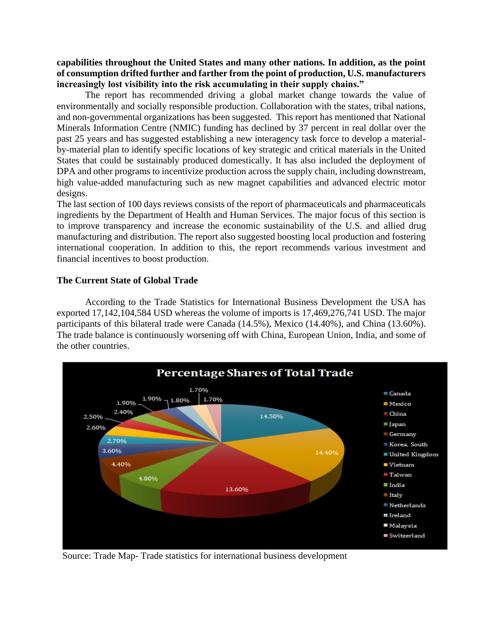**capabilities throughout the United States and many other nations. In addition, as the point of consumption drifted further and farther from the point of production, U.S. manufacturers increasingly lost visibility into the risk accumulating in their supply chains."**

The report has recommended driving a global market change towards the value of environmentally and socially responsible production. Collaboration with the states, tribal nations, and non-governmental organizations has been suggested. This report has mentioned that National Minerals Information Centre (NMIC) funding has declined by 37 percent in real dollar over the past 25 years and has suggested establishing a new interagency task force to develop a materialby-material plan to identify specific locations of key strategic and critical materials in the United States that could be sustainably produced domestically. It has also included the deployment of DPA and other programs to incentivize production across the supply chain, including downstream, high value-added manufacturing such as new magnet capabilities and advanced electric motor designs.

The last section of 100 days reviews consists of the report of pharmaceuticals and pharmaceuticals ingredients by the Department of Health and Human Services. The major focus of this section is to improve transparency and increase the economic sustainability of the U.S. and allied drug manufacturing and distribution. The report also suggested boosting local production and fostering international cooperation. In addition to this, the report recommends various investment and financial incentives to boost production.

#### **The Current State of Global Trade**

According to the Trade Statistics for International Business Development the USA has exported 17,142,104,584 USD whereas the volume of imports is 17,469,276,741 USD. The major participants of this bilateral trade were Canada (14.5%), Mexico (14.40%), and China (13.60%). The trade balance is continuously worsening off with China, European Union, India, and some of the other countries.



Source: Trade Map- Trade statistics for international business development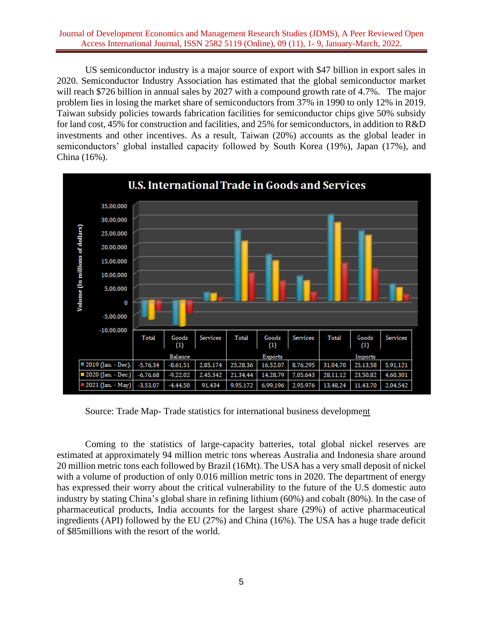#### Journal of Development Economics and Management Research Studies (JDMS), A Peer Reviewed Open Access International Journal, ISSN 2582 5119 (Online), 09 (11), 1- 9, January-March, 2022.

US semiconductor industry is a major source of export with \$47 billion in export sales in 2020. Semiconductor Industry Association has estimated that the global semiconductor market will reach \$726 billion in annual sales by 2027 with a compound growth rate of 4.7%. The major problem lies in losing the market share of semiconductors from 37% in 1990 to only 12% in 2019. Taiwan subsidy policies towards fabrication facilities for semiconductor chips give 50% subsidy for land cost, 45% for construction and facilities, and 25% for semiconductors, in addition to R&D investments and other incentives. As a result, Taiwan (20%) accounts as the global leader in semiconductors' global installed capacity followed by South Korea (19%), Japan (17%), and China (16%).



Source: Trade Map- Trade statistics for international business development

Coming to the statistics of large-capacity batteries, total global nickel reserves are estimated at approximately 94 million metric tons whereas Australia and Indonesia share around 20 million metric tons each followed by Brazil (16Mt). The USA has a very small deposit of nickel with a volume of production of only 0.016 million metric tons in 2020. The department of energy has expressed their worry about the critical vulnerability to the future of the U.S domestic auto industry by stating China's global share in refining lithium (60%) and cobalt (80%). In the case of pharmaceutical products, India accounts for the largest share (29%) of active pharmaceutical ingredients (API) followed by the EU (27%) and China (16%). The USA has a huge trade deficit of \$85millions with the resort of the world.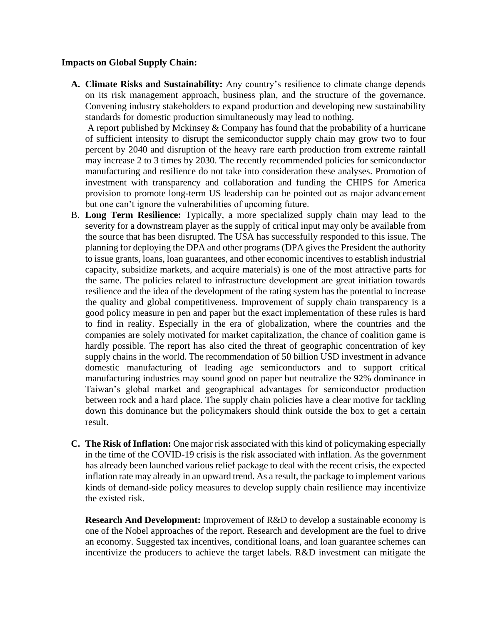### **Impacts on Global Supply Chain:**

**A. Climate Risks and Sustainability:** Any country's resilience to climate change depends on its risk management approach, business plan, and the structure of the governance. Convening industry stakeholders to expand production and developing new sustainability standards for domestic production simultaneously may lead to nothing.

A report published by Mckinsey & Company has found that the probability of a hurricane of sufficient intensity to disrupt the semiconductor supply chain may grow two to four percent by 2040 and disruption of the heavy rare earth production from extreme rainfall may increase 2 to 3 times by 2030. The recently recommended policies for semiconductor manufacturing and resilience do not take into consideration these analyses. Promotion of investment with transparency and collaboration and funding the CHIPS for America provision to promote long-term US leadership can be pointed out as major advancement but one can't ignore the vulnerabilities of upcoming future.

- B. **Long Term Resilience:** Typically, a more specialized supply chain may lead to the severity for a downstream player as the supply of critical input may only be available from the source that has been disrupted. The USA has successfully responded to this issue. The planning for deploying the DPA and other programs (DPA gives the President the authority to issue grants, loans, loan guarantees, and other economic incentives to establish industrial capacity, subsidize markets, and acquire materials) is one of the most attractive parts for the same. The policies related to infrastructure development are great initiation towards resilience and the idea of the development of the rating system has the potential to increase the quality and global competitiveness. Improvement of supply chain transparency is a good policy measure in pen and paper but the exact implementation of these rules is hard to find in reality. Especially in the era of globalization, where the countries and the companies are solely motivated for market capitalization, the chance of coalition game is hardly possible. The report has also cited the threat of geographic concentration of key supply chains in the world. The recommendation of 50 billion USD investment in advance domestic manufacturing of leading age semiconductors and to support critical manufacturing industries may sound good on paper but neutralize the 92% dominance in Taiwan's global market and geographical advantages for semiconductor production between rock and a hard place. The supply chain policies have a clear motive for tackling down this dominance but the policymakers should think outside the box to get a certain result.
- **C. The Risk of Inflation:** One major risk associated with this kind of policymaking especially in the time of the COVID-19 crisis is the risk associated with inflation. As the government has already been launched various relief package to deal with the recent crisis, the expected inflation rate may already in an upward trend. As a result, the package to implement various kinds of demand-side policy measures to develop supply chain resilience may incentivize the existed risk.

**Research And Development:** Improvement of R&D to develop a sustainable economy is one of the Nobel approaches of the report. Research and development are the fuel to drive an economy. Suggested tax incentives, conditional loans, and loan guarantee schemes can incentivize the producers to achieve the target labels. R&D investment can mitigate the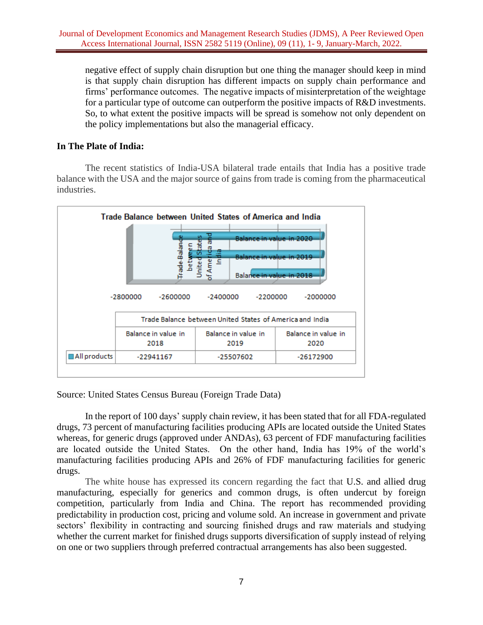negative effect of supply chain disruption but one thing the manager should keep in mind is that supply chain disruption has different impacts on supply chain performance and firms' performance outcomes. The negative impacts of misinterpretation of the weightage for a particular type of outcome can outperform the positive impacts of R&D investments. So, to what extent the positive impacts will be spread is somehow not only dependent on the policy implementations but also the managerial efficacy.

## **In The Plate of India:**

The recent statistics of India-USA bilateral trade entails that India has a positive trade balance with the USA and the major source of gains from trade is coming from the pharmaceutical industries.



Source: United States Census Bureau (Foreign Trade Data)

In the report of 100 days' supply chain review, it has been stated that for all FDA-regulated drugs, 73 percent of manufacturing facilities producing APIs are located outside the United States whereas, for generic drugs (approved under ANDAs), 63 percent of FDF manufacturing facilities are located outside the United States. On the other hand, India has 19% of the world's manufacturing facilities producing APIs and 26% of FDF manufacturing facilities for generic drugs.

The white house has expressed its concern regarding the fact that U.S. and allied drug manufacturing, especially for generics and common drugs, is often undercut by foreign competition, particularly from India and China. The report has recommended providing predictability in production cost, pricing and volume sold. An increase in government and private sectors' flexibility in contracting and sourcing finished drugs and raw materials and studying whether the current market for finished drugs supports diversification of supply instead of relying on one or two suppliers through preferred contractual arrangements has also been suggested.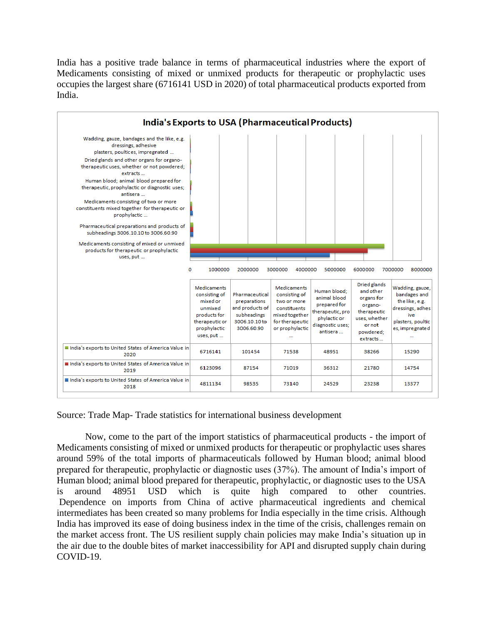India has a positive trade balance in terms of pharmaceutical industries where the export of Medicaments consisting of mixed or unmixed products for therapeutic or prophylactic uses occupies the largest share (6716141 USD in 2020) of total pharmaceutical products exported from India.



Source: Trade Map- Trade statistics for international business development

Now, come to the part of the import statistics of pharmaceutical products - the import of Medicaments consisting of mixed or unmixed products for therapeutic or prophylactic uses shares around 59% of the total imports of pharmaceuticals followed by Human blood; animal blood prepared for therapeutic, prophylactic or diagnostic uses (37%). The amount of India's import of Human blood; animal blood prepared for therapeutic, prophylactic, or diagnostic uses to the USA is around 48951 USD which is quite high compared to other countries. Dependence on imports from China of active pharmaceutical ingredients and chemical intermediates has been created so many problems for India especially in the time crisis. Although India has improved its ease of doing business index in the time of the crisis, challenges remain on the market access front. The US resilient supply chain policies may make India's situation up in the air due to the double bites of market inaccessibility for API and disrupted supply chain during COVID-19.